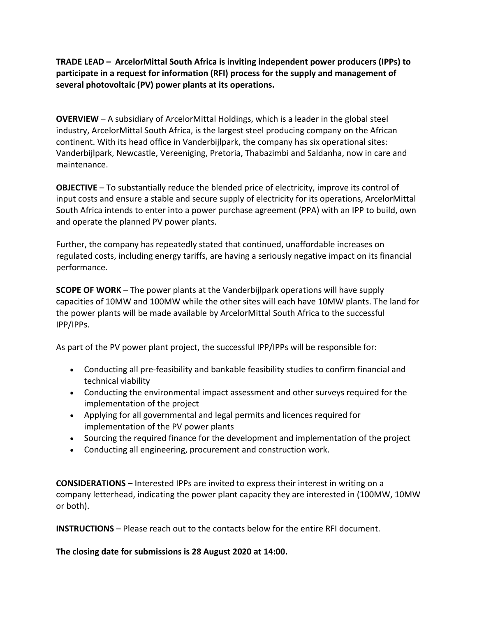**TRADE LEAD – ArcelorMittal South Africa is inviting independent power producers (IPPs) to participate in a request for information (RFI) process for the supply and management of several photovoltaic (PV) power plants at its operations.** 

**OVERVIEW** – A subsidiary of ArcelorMittal Holdings, which is a leader in the global steel industry, ArcelorMittal South Africa, is the largest steel producing company on the African continent. With its head office in Vanderbijlpark, the company has six operational sites: Vanderbijlpark, Newcastle, Vereeniging, Pretoria, Thabazimbi and Saldanha, now in care and maintenance.

**OBJECTIVE** – To substantially reduce the blended price of electricity, improve its control of input costs and ensure a stable and secure supply of electricity for its operations, ArcelorMittal South Africa intends to enter into a power purchase agreement (PPA) with an IPP to build, own and operate the planned PV power plants.

Further, the company has repeatedly stated that continued, unaffordable increases on regulated costs, including energy tariffs, are having a seriously negative impact on its financial performance.

**SCOPE OF WORK** – The power plants at the Vanderbijlpark operations will have supply capacities of 10MW and 100MW while the other sites will each have 10MW plants. The land for the power plants will be made available by ArcelorMittal South Africa to the successful IPP/IPPs.

As part of the PV power plant project, the successful IPP/IPPs will be responsible for:

- Conducting all pre-feasibility and bankable feasibility studies to confirm financial and technical viability
- Conducting the environmental impact assessment and other surveys required for the implementation of the project
- Applying for all governmental and legal permits and licences required for implementation of the PV power plants
- Sourcing the required finance for the development and implementation of the project
- Conducting all engineering, procurement and construction work.

**CONSIDERATIONS** – Interested IPPs are invited to express their interest in writing on a company letterhead, indicating the power plant capacity they are interested in (100MW, 10MW or both).

**INSTRUCTIONS** – Please reach out to the contacts below for the entire RFI document.

**The closing date for submissions is 28 August 2020 at 14:00.**